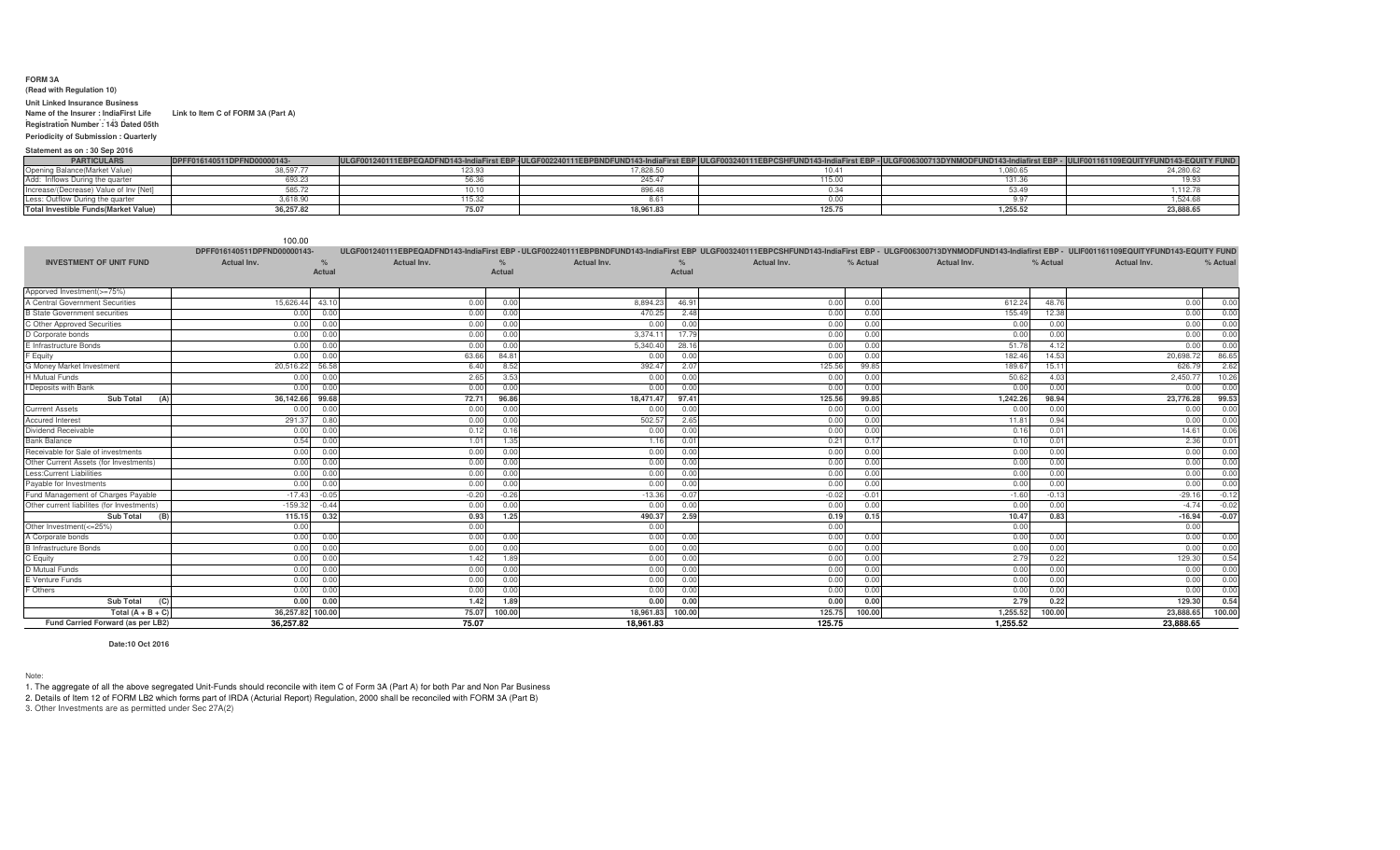## **FORM 3A**

## **(Read with Regulation 10)**

## **Unit Linked Insurance Business Name of the Insurer : IndiaFirst Life Link to Item C of FORM 3A (Part A)**

**Insurance Company LimitedRegistration Number : 143 Dated 05th** 

**Nov 2009 Periodicity of Submission : Quarterly**

## **Statement as on : 30 Sep 2016**

| <b>PARTICULARS</b>                     | DPFF016140511DPFND00000143- | ULGF001240111EBPEQADFND143-IndiaFirst EBP ULGF002240111EBPBNDFUND143-IndiaFirst EBP ULGF003240111EBPCSHFUND143-IndiaFirst EBP - ULGF006300713DYNMODFUND143-Indiafirst EBP - ULFF001161109EQUITYFUND143-End |               |         |                   |           |
|----------------------------------------|-----------------------------|------------------------------------------------------------------------------------------------------------------------------------------------------------------------------------------------------------|---------------|---------|-------------------|-----------|
| Opening Balance (Market Value)         | 88,597.7                    | 123.93                                                                                                                                                                                                     | 7.828.50      |         | $\sim$<br>.uou.bt | 24.280.62 |
| Add: Inflows During the quarter        | 693.ZJ                      |                                                                                                                                                                                                            | 245.          |         |                   |           |
| Increase/(Decrease) Value of Inv [Net] | 585.72                      |                                                                                                                                                                                                            | $\sim$ $\sim$ |         |                   |           |
| Less: Outflow During the quarter       | 3,618.90                    | 115.22                                                                                                                                                                                                     |               |         |                   | .524.68   |
| Total Investible Funds (Market Value)  | 36.257.82                   | 75.07                                                                                                                                                                                                      | 18,961.83     | ، 20ء ا | 1.255.52          | 23,888.65 |

|                                            | 100.00                      |         |                    |               |                                                                                                                                                                                                                     |               |             |          |                    |          |                    |          |
|--------------------------------------------|-----------------------------|---------|--------------------|---------------|---------------------------------------------------------------------------------------------------------------------------------------------------------------------------------------------------------------------|---------------|-------------|----------|--------------------|----------|--------------------|----------|
|                                            | DPFF016140511DPFND00000143- |         |                    |               | ULGF001240111EBPEQADFND143-IndiaFirst EBP -ULGF002240111EBPBNDFUND143-IndiaFirst EBP ULGF003240111EBPCSHFUND143-IndiaFirst EBP - ULGF006300713DYNMODFUND143-Indiafirst EBP - ULIF001161109EQUITYFUND143-EQUITY FUND |               |             |          |                    |          |                    |          |
| <b>INVESTMENT OF UNIT FUND</b>             | <b>Actual Inv.</b>          | $\%$    | <b>Actual Inv.</b> | $\frac{9}{6}$ | <b>Actual Inv.</b>                                                                                                                                                                                                  | $\frac{1}{2}$ | Actual Inv. | % Actual | <b>Actual Inv.</b> | % Actual | <b>Actual Inv.</b> | % Actual |
|                                            |                             | Actual  |                    | Actual        |                                                                                                                                                                                                                     | <b>Actual</b> |             |          |                    |          |                    |          |
|                                            |                             |         |                    |               |                                                                                                                                                                                                                     |               |             |          |                    |          |                    |          |
| Apporved Investment(>=75%)                 |                             |         |                    |               |                                                                                                                                                                                                                     |               |             |          |                    |          |                    |          |
| A Central Government Securities            | 15,626.44                   | 43.10   | 0.0(               | 0.00          | 8,894.23                                                                                                                                                                                                            | 46.91         | 0.00        | 0.00     | 612.24             | 48.76    | 0.00               | 0.00     |
| <b>B State Government securities</b>       | 0.00                        | 0.00    | 0.0(               | 0.00          | 470.25                                                                                                                                                                                                              | 2.48          | 0.00        | 0.00     | 155.49             | 12.38    | 0.00               | 0.00     |
| C Other Approved Securities                | 0.00                        | 0.0     | 0.0(               | 0.00          | 0.00                                                                                                                                                                                                                | 0.00          | 0.00        | 0.00     | 0.00               | 0.00     | 0.00               | 0.00     |
| D Corporate bonds                          | 0.00                        | 0.00    | 0.0(               | 0.00          | 3.374.1                                                                                                                                                                                                             | 17.7          | 0.00        | 0.00     | 0.00               | 0.00     | 0.00               | 0.00     |
| E Infrastructure Bonds                     | 0.00                        | 0.00    | 0.0(               | 0.00          | 5,340.40                                                                                                                                                                                                            | 28.1          | 0.00        | 0.00     | 51.78              | 4.12     | 0.00               | 0.00     |
| F Equity                                   | 0.00                        | 0.00    | 63.66              | 84.8          | 0.00                                                                                                                                                                                                                | 0.00          | 0.00        | 0.00     | 182.46             | 14.53    | 20,698.72          | 86.65    |
| G Money Market Investment                  | 20.516.22                   | 56.58   | 6.40               | 8.52          | 392.47                                                                                                                                                                                                              | 2.07          | 125.56      | 99.85    | 189.67             | 15.11    | 626.7              | 2.62     |
| <b>H</b> Mutual Funds                      | 0.00                        | 0.0(    | 2.65               | 3.53          | 0.00                                                                                                                                                                                                                | 0.00          | 0.00        | 0.00     | 50.62              | 4.03     | 2,450.7            | 10.26    |
| Deposits with Bank                         | 0.00                        | 0.00    | 0.00               | 0.00          | 0.00                                                                                                                                                                                                                | 0.00          | 0.00        | 0.00     | 0.00               | 0.00     | 0.00               | 0.00     |
| <b>Sub Total</b>                           | 36,142.66                   | 99.68   | 72.71              | 96.86         | 18,471.47                                                                                                                                                                                                           | 97.41         | 125.56      | 99.85    | 1,242.26           | 98.94    | 23.776.28          | 99.53    |
| <b>Currrent Assets</b>                     | 0.00                        | 0.0(    | 0.00               | 0.00          | 0.00                                                                                                                                                                                                                | 0.00          | 0.00        | 0.00     | 0.00               | 0.00     | 0.00               | 0.00     |
| <b>Accured Interest</b>                    | 291.37                      | 0.80    | 0.0(               | 0.00          | 502.57                                                                                                                                                                                                              | 2.65          | 0.00        | 0.00     | 11.81              | 0.94     | 0.00               | 0.00     |
| Dividend Receivable                        | 0.00                        | 0.00    | 0.12               | 0.16          | 0.00                                                                                                                                                                                                                | 0.00          | 0.00        | 0.00     | 0.16               | 0.01     | 14.61              | 0.06     |
| <b>Bank Balance</b>                        | 0.54                        | 0.00    | 1.01               | 1.35          | 1.16                                                                                                                                                                                                                | 0.01          | 0.21        | 0.17     | 0.10               | 0.01     | 2.36               | 0.01     |
| Receivable for Sale of investments         | 0.00                        | 0.00    | 0.00               | 0.00          | 0.00                                                                                                                                                                                                                | 0.00          | 0.00        | 0.00     | 0.00               | 0.00     | 0.00               | 0.00     |
| Other Current Assets (for Investments)     | 0.00                        | 0.00    | 0.0(               | 0.00          | 0.00                                                                                                                                                                                                                | 0.00          | 0.00        | 0.00     | 0.00               | 0.00     | 0.00               | 0.00     |
| Less:Current Liabilities                   | 0.00                        | 0.00    | 0.00               | 0.00          | 0.00                                                                                                                                                                                                                | 0.00          | 0.00        | 0.00     | 0.00               | 0.00     | 0.00               | 0.00     |
| Payable for Investments                    | 0.00                        | 0.00    | 0.00               | 0.00          | 0.00                                                                                                                                                                                                                | 0.00          | 0.00        | 0.00     | 0.00               | 0.00     | 0.00               | 0.00     |
| Fund Management of Charges Payable         | $-17.43$                    | $-0.05$ | $-0.20$            | $-0.26$       | $-13.36$                                                                                                                                                                                                            | $-0.07$       | $-0.02$     | $-0.01$  | $-1.60$            | $-0.13$  | $-29.16$           | $-0.12$  |
| Other current liabilites (for Investments) | $-159.32$                   | $-0.44$ | 0.0(               | 0.00          | 0.00                                                                                                                                                                                                                | 0.00          | 0.00        | 0.00     | 0.00               | 0.00     | $-4.74$            | $-0.02$  |
| Sub Total<br>(B                            | 115.15                      | 0.32    | 0.93               | 1.25          | 490.37                                                                                                                                                                                                              | 2.59          | 0.19        | 0.15     | 10.47              | 0.83     | $-16.94$           | $-0.07$  |
| Other Investment(<=25%)                    | 0.00                        |         | 0.00               |               | 0.00                                                                                                                                                                                                                |               | 0.00        |          | 0.00               |          | 0.00               |          |
| A Corporate bonds                          | 0.00                        | 0.00    | 0.00               | 0.00          | 0.00                                                                                                                                                                                                                | 0.00          | 0.00        | 0.00     | 0.00               | 0.00     | 0.00               | 0.00     |
| <b>B</b> Infrastructure Bonds              | 0.00                        | 0.00    | 0.00               | 0.00          | 0.00                                                                                                                                                                                                                | 0.00          | 0.00        | 0.00     | 0.00               | 0.00     | 0.00               | 0.00     |
| C Equity                                   | 0.00                        | 0.00    | 1.42               | 1.89          | 0.00                                                                                                                                                                                                                | 0.00          | 0.00        | 0.00     | 2.79               | 0.22     | 129.30             | 0.54     |
| D Mutual Funds                             | 0.00                        | 0.00    | 0.00               | 0.00          | 0.00                                                                                                                                                                                                                | 0.00          | 0.00        | 0.00     | 0.00               | 0.00     | 0.00               | 0.00     |
| E Venture Funds                            | 0.00                        | 0.00    | 0.00               | 0.00          | 0.00                                                                                                                                                                                                                | 0.00          | 0.00        | 0.00     | 0.00               | 0.00     | 0.00               | 0.00     |
| F Others                                   | 0.00                        | 0.0(    | 0.00               | 0.00          | 0.00                                                                                                                                                                                                                | 0.00          | 0.00        | 0.00     | 0.00               | 0.00     | 0.00               | 0.00     |
| <b>Sub Total</b><br>(C)                    | 0.00                        | 0.00    | 1.42               | 1.89          | 0.00                                                                                                                                                                                                                | 0.00          | 0.00        | 0.00     | 2.79               | 0.22     | 129.30             | 0.54     |
| Total $(A + B + C)$                        | 36,257.82 100.00            |         | 75.07              | 100.00        | 18,961.83                                                                                                                                                                                                           | 100.00        | 125.75      | 100.00   | 1,255.52           | 100.00   | 23,888.65          | 100.00   |
| Fund Carried Forward (as per LB2)          | 36.257.82                   |         | 75.07              |               | 18.961.83                                                                                                                                                                                                           |               | 125.75      |          | 1.255.52           |          | 23.888.65          |          |

**Date:10 Oct 2016**

Note:

1. The aggregate of all the above segregated Unit-Funds should reconcile with item C of Form 3A (Part A) for both Par and Non Par Business<br>2. Details of Item 12 of FORM LB2 which forms part of IRDA (Acturial Report) Regula 3. Other Investments are as permitted under Sec 27A(2)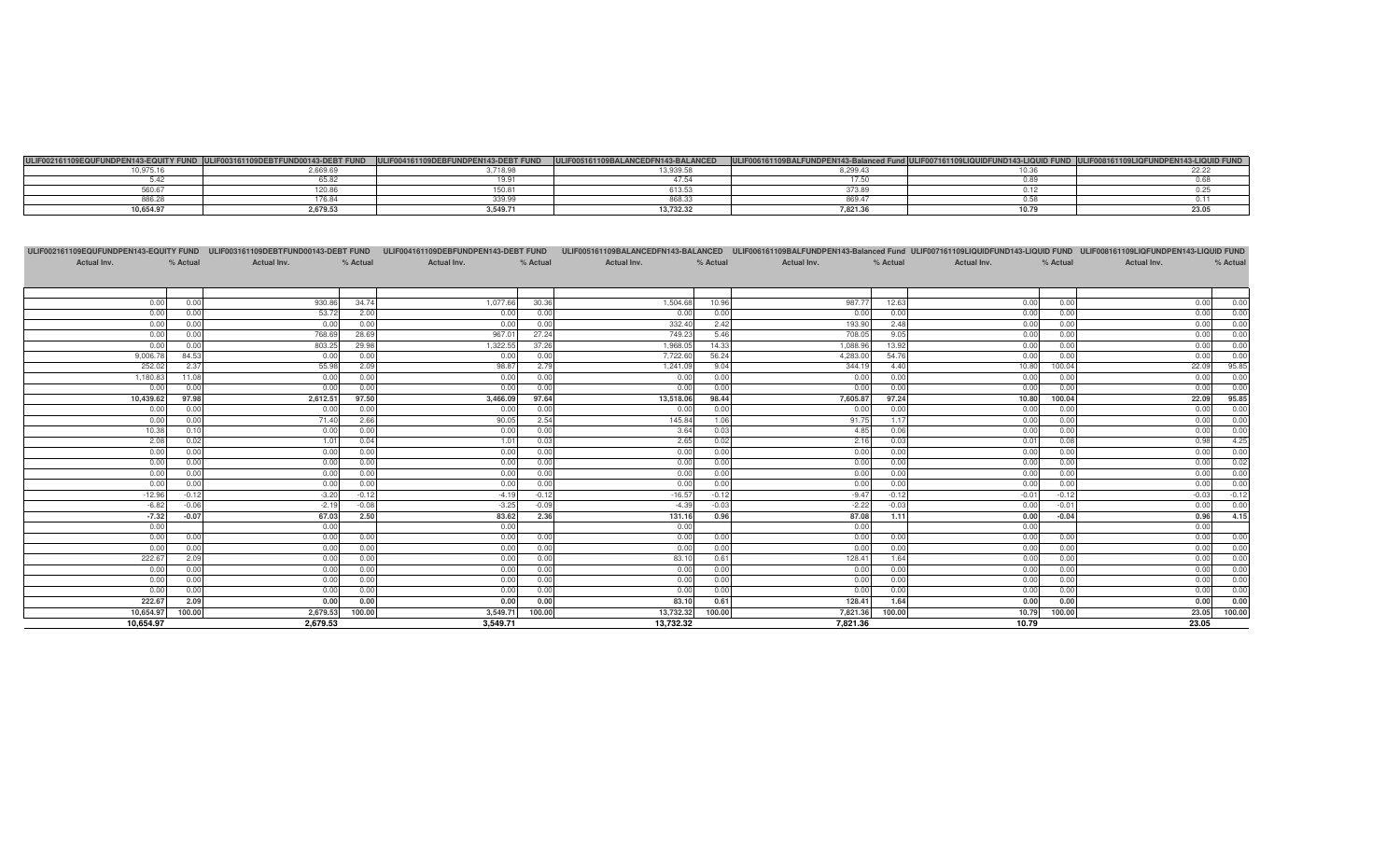| 102161109FOUF<br><b>JEM142 COULTY CUND</b> | 03161109DEBTFUND00143-DEBT FUND<br>- 11 | <b>NDPFN143-DFRT FUND</b> | <b>COCAILS DAI ANCER</b> | 006161109BALFUNDPEN143-Balanced F | JLIF007161109*<br><b>IIDEUND143-LIQUID EUN</b> | 18161109 |
|--------------------------------------------|-----------------------------------------|---------------------------|--------------------------|-----------------------------------|------------------------------------------------|----------|
| 40.075                                     | 2,669.69                                | 0.740.00                  | 10.000E                  |                                   |                                                |          |
|                                            |                                         |                           |                          |                                   |                                                |          |
|                                            | ZU.O                                    |                           | 13.30                    |                                   |                                                |          |
| --- -                                      | 176.84                                  | 0.0000                    | 0.0000<br>868.33         |                                   |                                                |          |
| 10.654.9                                   | 2,679.53                                | 3.549.71                  | 13,732.32                | $ -$                              |                                                |          |

|                |                |              |              |              |              |               |                |                |              |              |              | ULIF002161109EQUFUNDPEN143-EQUITY FUND ULIF003161109DEBTFUND00143-DEBT FUND ULIF004161109DEBFUNDPEN143-DEBT FUND ULIF005161109BALANCEDFN143-BALANCED ULIF006161109BALFUNDPEN143-Balanced Fund ULIF007161109LIQUIDFUND143-LIQUI |
|----------------|----------------|--------------|--------------|--------------|--------------|---------------|----------------|----------------|--------------|--------------|--------------|--------------------------------------------------------------------------------------------------------------------------------------------------------------------------------------------------------------------------------|
| Actual Inv.    | % Actual       | Actual Inv.  | % Actual     | Actual Inv.  | % Actual     | Actual Inv.   | % Actual       | Actual Inv.    | % Actual     | Actual Inv.  | % Actual     | Actual Inv.<br>% Actual                                                                                                                                                                                                        |
|                |                |              |              |              |              |               |                |                |              |              |              |                                                                                                                                                                                                                                |
|                |                |              |              |              |              |               |                |                |              |              |              |                                                                                                                                                                                                                                |
| 0.00           | 0.00           | 930.86       | 34.74        | 1,077.66     | 30.36        | 1,504.68      | 10.96          | 987.77         | 12.63        | 0.00         | 0.00         | 0.00<br>0.00                                                                                                                                                                                                                   |
| 0.00           | 0.00           | 53.72        | 2.00         | 0.00         | 0.00         | 0.00          | 0.00           | 0.00           | 0.00         | 0.00         | 0.00         | 0.00<br>0.00                                                                                                                                                                                                                   |
| 0.00           | 0.00           | 0.00         | 0.00         | 0.00         | 0.00         | 332.40        | 2.42           | 193.90         | 2.48         | 0.00         | 0.00         | 0.00<br>0.00                                                                                                                                                                                                                   |
| 0.00           | 0.00           | 768.69       | 28.69        | 967.01       | 27.24        | 749.23        | 5.46           | 708.05         | 9.05         | 0.00         | 0.00         | 0.00<br>0.00                                                                                                                                                                                                                   |
| 0.00           | 0.00           | 803.25       | 29.98        | 1,322.55     | 37.26        | 1,968.05      | 14.33          | 1,088.96       | 13.92        | 0.00         | 0.00         | 0.00<br>0.00                                                                                                                                                                                                                   |
| 9,006.78       | 84.53          | 0.00         | 0.00         | 0.00         | 0.00         | 7,722.60      | 56.24          | 4,283.00       | 54.76        | 0.00         | 0.00         | 0.00<br>0.00                                                                                                                                                                                                                   |
| 252.02         | 2.37           | 55.98        | 2.09         | 98.87        | 2.79         | 1,241.09      | 9.04           | 344.19         | 4.40         | 10.80        | 100.04       | 95.85<br>22.09                                                                                                                                                                                                                 |
| 1,180.83       | 11.08          | 0.00         | 0.00         | 0.00         | 0.00         | 0.00          | 0.00           | 0.00           | 0.00         | 0.00         | 0.00         | 0.00<br>0.00                                                                                                                                                                                                                   |
| 0.00           | 0.00           | 0.00         | 0.00         | 0.00         | 0.00         | 0.00          | 0.00           | 0.00           | 0.00         | 0.00         | 0.00         | 0.00<br>0.00                                                                                                                                                                                                                   |
| 10,439.62      | 97.98          | 2,612.51     | 97.50        | 3,466.09     | 97.64        | 13,518.06     | 98.44          | 7,605.87       | 97.24        | 10.80        | 100.04       | 95.85<br>22.09                                                                                                                                                                                                                 |
| 0.00           | 0.00           | 0.00         | 0.00         | 0.00         | 0.00         | 0.00          | 0.00           | 0.00           | 0.00         | 0.00         | 0.00         | 0.00<br>0.00                                                                                                                                                                                                                   |
| 0.00           | 0.00           | 71.40        | 2.66         | 90.05        | 2.54         | 145.84        | 1.06           | 91.75          | 1.17         | 0.00         | 0.00         | 0.00<br>0.00                                                                                                                                                                                                                   |
| 10.38          | 0.10           | 0.00         | 0.00         | 0.00         | 0.00         | 3.64          | 0.03           | 4.85           | 0.06         | 0.00         | 0.00         | 0.00<br>0.00                                                                                                                                                                                                                   |
| 2.08           | 0.02           | 1.01         | 0.04         | 1.01         | 0.03         | 2.65          | 0.02           | 2.16           | 0.03         | 0.01         | 0.08         | 4.25<br>0.98                                                                                                                                                                                                                   |
| 0.00           | 0.00           | 0.00         | 0.00         | 0.00         | 0.00         | 0.00          | 0.00           | 0.00           | 0.00         | 0.00         | 0.00         | 0.00<br>0.00                                                                                                                                                                                                                   |
| 0.00           | 0.00           | 0.00         | 0.00         | 0.00         | 0.00         | 0.00          | 0.00           | 0.00           | 0.00         | 0.00         | 0.00         | 0.02<br>0.00                                                                                                                                                                                                                   |
| 0.00           | 0.00           | 0.00         | 0.00         | 0.00         | 0.00         | 0.00          | 0.00           | 0.00           | 0.00         | 0.00         | 0.00         | 0.00<br>0.00                                                                                                                                                                                                                   |
| 0.00           | 0.00           | 0.00         | 0.00         | 0.00         | 0.00         | 0.00          | 0.00           | 0.00           | 0.00         | 0.00         | 0.00         | 0.00<br>0.00                                                                                                                                                                                                                   |
| $-12.96$       | $-0.12$        | $-3.20$      | $-0.12$      | $-4.19$      | $-0.12$      | $-16.57$      | $-0.12$        | $-9.47$        | $-0.12$      | $-0.01$      | $-0.12$      | $-0.12$<br>$-0.03$                                                                                                                                                                                                             |
| $-6.82$        | $-0.06$        | $-2.19$      | $-0.08$      | $-3.25$      | $-0.09$      | $-4.39$       | $-0.03$        | $-2.22$        | $-0.03$      | 0.00         | $-0.01$      | 0.00<br>0.00                                                                                                                                                                                                                   |
| $-7.32$        | $-0.07$        | 67.03        | 2.50         | 83.62        | 2.36         | 131.16        | 0.96           | 87.08          | 1.11         | 0.00         | $-0.04$      | 4.15<br>0.96                                                                                                                                                                                                                   |
| 0.00           |                | 0.00         |              | 0.00         |              | 0.00          |                | 0.00           |              | 0.00         |              | 0.00                                                                                                                                                                                                                           |
| 0.00           | 0.00           | 0.00         | 0.00         | 0.00         | 0.00         | 0.00          | 0.00           | 0.00           | 0.00         | 0.00         | 0.00         | 0.00<br>0.00                                                                                                                                                                                                                   |
| 0.00           | 0.00           | 0.00         | 0.00         | 0.00         | 0.00         | 0.00          | 0.00           | 0.00           | 0.00         | 0.00         | 0.00         | 0.00<br>0.00                                                                                                                                                                                                                   |
| 222.67         | 2.09           | 0.00         | 0.00         | 0.00         | 0.00         | 83.10         | 0.61           | 128.41         | 1.64         | 0.00         | 0.00         | 0.00<br>0.00                                                                                                                                                                                                                   |
| 0.00           | 0.00<br>0.00   | 0.00         | 0.00<br>0.00 | 0.00         | 0.00<br>0.00 | 0.00          | 0.00<br>0.00   | 0.00           | 0.00<br>0.00 | 0.00         | 0.00         | 0.00<br>0.00<br>0.00                                                                                                                                                                                                           |
| 0.00           | 0.00           | 0.00         |              | 0.00         |              | 0.00          |                | 0.00           |              | 0.00         | 0.00         | 0.00                                                                                                                                                                                                                           |
| 0.00<br>222.67 |                | 0.00<br>0.00 | 0.00<br>0.00 | 0.00<br>0.00 | 0.00<br>0.00 | 0.00<br>83.10 | 0.00           | 0.00<br>128.41 | 0.00<br>1.64 | 0.00<br>0.00 | 0.00<br>0.00 | 0.00<br>0.00<br>0.00<br>0.00                                                                                                                                                                                                   |
| 10,654.97      | 2.09<br>100.00 | 2,679.53     | 100.00       | 3,549.71     | 100.00       | 13,732.32     | 0.61<br>100.00 | 7,821.36       | 100.00       | 10.79        | 100.00       | 23.05 100.00                                                                                                                                                                                                                   |
| 10,654.97      |                | 2,679.53     |              | 3.549.71     |              | 13,732.32     |                | 7,821.36       |              | 10.79        |              | 23.05                                                                                                                                                                                                                          |
|                |                |              |              |              |              |               |                |                |              |              |              |                                                                                                                                                                                                                                |